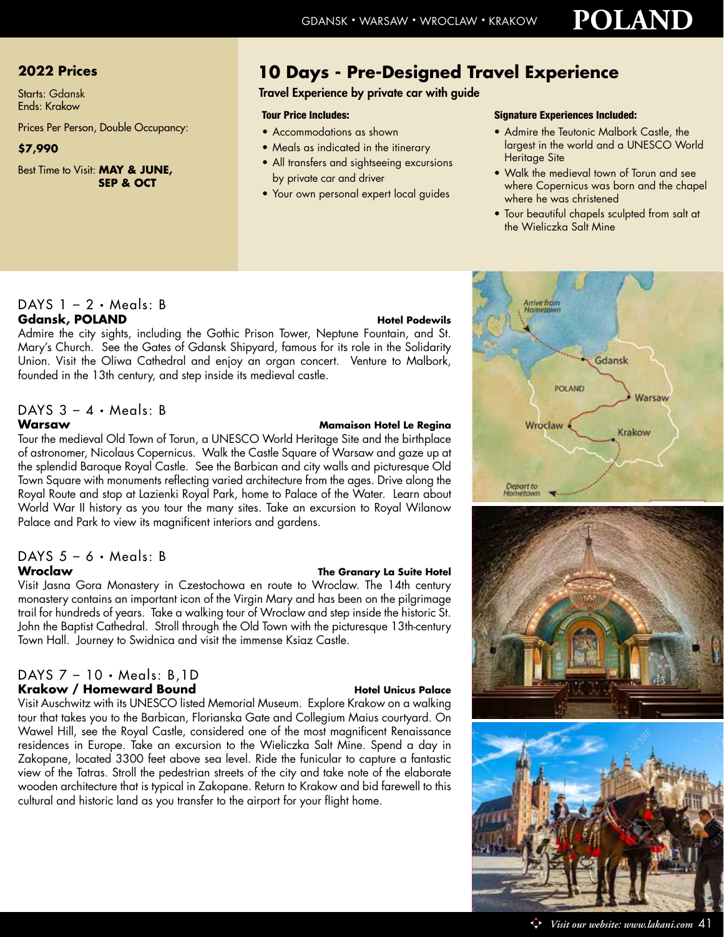# **2022 Prices**

Starts: Gdansk Ends: Krakow

Prices Per Person, Double Occupancy:

## **\$7,990**

Best Time to Visit: **MAY & JUNE, SEP & OCT**

# **10 Days - Pre-Designed Travel Experience**

Travel Experience by private car with guide

- Accommodations as shown
- Meals as indicated in the itinerary
- All transfers and sightseeing excursions by private car and driver
- Your own personal expert local guides

### Tour Price Includes: Signature Experiences Included:

- Admire the Teutonic Malbork Castle, the largest in the world and a UNESCO World Heritage Site
- Walk the medieval town of Torun and see where Copernicus was born and the chapel where he was christened
- Tour beautiful chapels sculpted from salt at the Wieliczka Salt Mine

# DAYS  $1 - 2 \cdot$  Meals: B **Gdansk, POLAND Hotel Podewils**

Admire the city sights, including the Gothic Prison Tower, Neptune Fountain, and St. Mary's Church. See the Gates of Gdansk Shipyard, famous for its role in the Solidarity Union. Visit the Oliwa Cathedral and enjoy an organ concert. Venture to Malbork, founded in the 13th century, and step inside its medieval castle.

# DAYS  $3 - 4 \cdot$  Meals: B

### **Warsaw Mamaison Hotel Le Regina**

Tour the medieval Old Town of Torun, a UNESCO World Heritage Site and the birthplace of astronomer, Nicolaus Copernicus. Walk the Castle Square of Warsaw and gaze up at the splendid Baroque Royal Castle. See the Barbican and city walls and picturesque Old Town Square with monuments reflecting varied architecture from the ages. Drive along the Royal Route and stop at Lazienki Royal Park, home to Palace of the Water. Learn about World War II history as you tour the many sites. Take an excursion to Royal Wilanow Palace and Park to view its magnificent interiors and gardens.

## DAYS  $5 - 6 \cdot$  Meals: B **Wroclaw The Granary La Suite Hotel**

Visit Jasna Gora Monastery in Czestochowa en route to Wroclaw. The 14th century monastery contains an important icon of the Virgin Mary and has been on the pilgrimage trail for hundreds of years. Take a walking tour of Wroclaw and step inside the historic St. John the Baptist Cathedral. Stroll through the Old Town with the picturesque 13th-century Town Hall. Journey to Swidnica and visit the immense Ksiaz Castle.

### DAYS 7 – 10 • Meals: B,1D Krakow / Homeward Bound **Hotel Unicus Palace**

Visit Auschwitz with its UNESCO listed Memorial Museum. Explore Krakow on a walking tour that takes you to the Barbican, Florianska Gate and Collegium Maius courtyard. On Wawel Hill, see the Royal Castle, considered one of the most magnificent Renaissance residences in Europe. Take an excursion to the Wieliczka Salt Mine. Spend a day in Zakopane, located 3300 feet above sea level. Ride the funicular to capture a fantastic view of the Tatras. Stroll the pedestrian streets of the city and take note of the elaborate wooden architecture that is typical in Zakopane. Return to Krakow and bid farewell to this cultural and historic land as you transfer to the airport for your flight home.